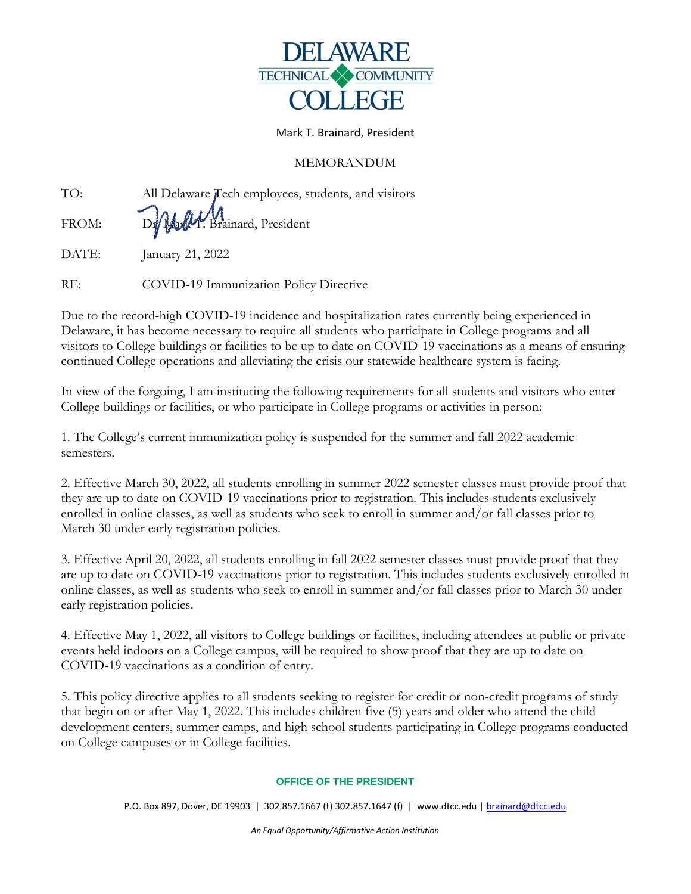

## Mark T. Brainard, President

## MEMORANDUM

| TO:   | All Delaware Tech employees, students, and visitors |
|-------|-----------------------------------------------------|
| FROM: | D. Mally Brainard, President                        |
| DATE: | January 21, 2022                                    |

RE: COVID-19 Immunization Policy Directive

Due to the record-high COVID-19 incidence and hospitalization rates currently being experienced in Delaware, it has become necessary to require all students who participate in College programs and all visitors to College buildings or facilities to be up to date on COVID-19 vaccinations as a means of ensuring continued College operations and alleviating the crisis our statewide healthcare system is facing.

In view of the forgoing, I am instituting the following requirements for all students and visitors who enter College buildings or facilities, or who participate in College programs or activities in person:

1. The College's current immunization policy is suspended for the summer and fall 2022 academic semesters.

2. Effective March 30, 2022, all students enrolling in summer 2022 semester classes must provide proof that they are up to date on COVID-19 vaccinations prior to registration. This includes students exclusively enrolled in online classes, as well as students who seek to enroll in summer and/or fall classes prior to March 30 under early registration policies.

3. Effective April 20, 2022, all students enrolling in fall 2022 semester classes must provide proof that they are up to date on COVID-19 vaccinations prior to registration. This includes students exclusively enrolled in online classes, as well as students who seek to enroll in summer and/or fall classes prior to March 30 under early registration policies.

4. Effective May 1, 2022, all visitors to College buildings or facilities, including attendees at public or private events held indoors on a College campus, will be required to show proof that they are up to date on COVID-19 vaccinations as a condition of entry.

5. This policy directive applies to all students seeking to register for credit or non-credit programs of study that begin on or after May 1, 2022. This includes children five (5) years and older who attend the child development centers, summer camps, and high school students participating in College programs conducted on College campuses or in College facilities.

## **OFFICE OF THE PRESIDENT**

P.O. Box 897, Dover, DE 19903 | 302.857.1667 (t) 302.857.1647 (f) | www.dtcc.edu | [brainard@dtcc.edu](mailto:brainard@dtcc.edu)